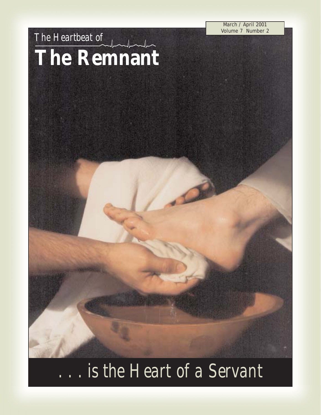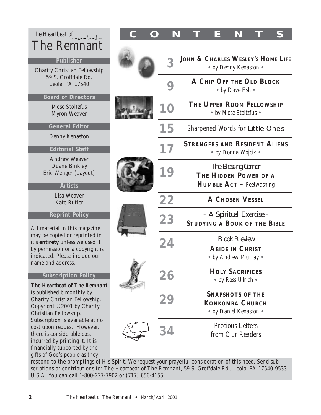| The Heartbeat of<br><b>The Remnant</b>                                                                                                                         |    | N  |                                              | Е |                                                                                        |  |
|----------------------------------------------------------------------------------------------------------------------------------------------------------------|----|----|----------------------------------------------|---|----------------------------------------------------------------------------------------|--|
| Publisher<br><b>Charity Christian Fellowship</b>                                                                                                               |    |    | <b>JOHN &amp; CHARLES WESLEY'S HOME LIFE</b> |   | • by Denny Kenaston •                                                                  |  |
| 59 S. Groffdale Rd.<br>Leola, PA 17540                                                                                                                         |    |    |                                              |   | A CHIP OFF THE OLD BLOCK<br>• by Dave Esh $\bullet$                                    |  |
| <b>Board of Directors</b><br><b>Mose Stoltzfus</b><br><b>Myron Weaver</b>                                                                                      |    | 10 |                                              |   | THE UPPER ROOM FELLOWSHIP<br>• by Mose Stoltzfus •                                     |  |
| General Editor<br>Denny Kenaston                                                                                                                               |    | 15 |                                              |   | Sharpened Words for Little Ones                                                        |  |
| <b>Editorial Staff</b>                                                                                                                                         |    |    | <b>STRANGERS AND RESIDENT ALIENS</b>         |   | • by Donna Wojcik •                                                                    |  |
| <b>Andrew Weaver</b><br><b>Duane Binkley</b><br>Eric Wenger (Layout)<br><b>Artists</b>                                                                         |    | 19 |                                              |   | <b>The Blessing Corner</b><br>THE HIDDEN POWER OF A<br><b>HUMBLE ACT</b> – Feetwashing |  |
| Lisa Weaver<br><b>Kate Rutler</b>                                                                                                                              |    | 22 |                                              |   | <b>A CHOSEN VESSEL</b>                                                                 |  |
| <b>Reprint Policy</b><br>All material in this magazine                                                                                                         |    | 23 |                                              |   | - A Spiritual Exercise -<br><b>STUDYING A BOOK OF THE BIBLE</b>                        |  |
| may be copied or reprinted in<br>it's entirety unless we used it<br>by permission or a copyright is<br>indicated. Please include our<br>name and address.      | õ. | 24 |                                              |   | <b>Book Review</b><br><b>ABIDE IN CHRIST</b><br>• by Andrew Murray •                   |  |
| <b>Subscription Policy</b><br><b>The Heartbeat of The Remnant</b>                                                                                              |    | 26 |                                              |   | <b>HOLY SACRIFICES</b><br>• by Ross Ulrich •                                           |  |
| is published bimonthly by<br>Charity Christian Fellowship.<br>Copyright ©2001 by Charity<br>Christian Fellowship.                                              |    | 29 |                                              |   | <b>SNAPSHOTS OF THE</b><br><b>KONKOMBA CHURCH</b><br>• by Daniel Kenaston •            |  |
| Subscription is available at no<br>cost upon request. However,<br>there is considerable cost<br>incurred by printing it. It is<br>financially supported by the |    | 34 |                                              |   | <b>Precious Letters</b><br>from Our Readers                                            |  |
| gifts of God's people as they                                                                                                                                  |    |    |                                              |   |                                                                                        |  |

respond to the promptings of His Spirit. We request your prayerful consideration of this need. Send subscriptions or contributions to: The Heartbeat of The Remnant, 59 S. Groffdale Rd., Leola, PA 17540-9533 U.S.A. You can call 1-800-227-7902 or (717) 656-4155.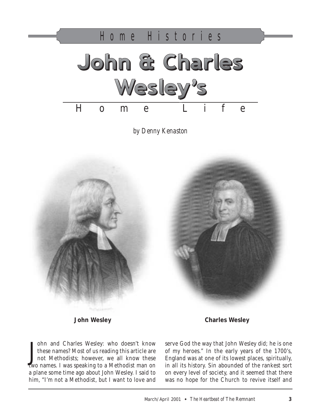

*by Denny Kenaston*



**John Wesley Charles Wesley**

John and Charles Wesley: who doesn't know<br>these names? Most of us reading this article are<br>not Methodists; however, we all know these ohn and Charles Wesley: who doesn't know these names? Most of us reading this article are two names. I was speaking to a Methodist man on a plane some time ago about John Wesley. I said to him, "I'm not a Methodist, but I want to love and

serve God the way that John Wesley did; he is one of my heroes." In the early years of the 1700's, England was at one of its lowest places, spiritually, in all its history. Sin abounded of the rankest sort on every level of society, and it seemed that there was no hope for the Church to revive itself and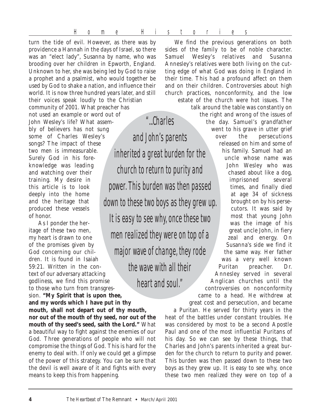"...Charles

and John's parents

turn the tide of evil. However, as there was by providence a Hannah in the days of Israel, so there was an "elect lady", Susanna by name, who was brooding over her children in Epworth, England. Unknown to her, she was being led by God to raise a prophet and a psalmist, who would together be used by God to shake a nation, and influence their world. It is now three hundred years later, and still their voices speak loudly to the Christian

community of 2001. What preacher has not used an example or word out of John Wesley's life? What assembly of believers has not sung some of Charles Wesley's songs? The impact of these two men is immeasurable. Surely God in his foreknowledge was leading and watching over their training. My desire in this article is to look deeply into the home and the heritage that produced these vessels of honor.

As I ponder the heritage of these two men, my heart is drawn to one of the promises given by God concerning our children. It is found in Isaiah 59:21. Written in the context of our adversary attacking godliness, we find this promise to those who turn from transgression. **"My Spirit that is upon thee, and my words which I have put in thy mouth, shall not depart out of thy mouth, nor out of the mouth of thy seed, nor out of the mouth of thy seed's seed, saith the Lord."** What a beautiful way to fight against the enemies of our God. Three generations of people who will not compromise the things of God. This is hard for the enemy to deal with. If only we could get a glimpse of the power of this strategy. You can be sure that the devil is well aware of it and fights with every means to keep this from happening. men realized they were on top of a major wave of change, they rode the wave with all their heart and soul."

We find the previous generations on both sides of the family to be of noble character. Samuel Wesley's relatives and Susanna Annesley's relatives were both living on the cutting edge of what God was doing in England in their time. This had a profound affect on them and on their children. Controversies about high church practices, nonconformity, and the low

estate of the church were hot issues. The talk around the table was constantly on the right and wrong of the issues of the day. Samuel's grandfather went to his grave in utter grief over the persecutions released on him and some of his family. Samuel had an uncle whose name was John Wesley who was chased about like a dog, imprisoned several times, and finally died at age 34 of sickness brought on by his persecutors. It was said by most that young John was the image of his great uncle John, in fiery zeal and energy. On Susanna's side we find it the same way. Her father was a very well known inherited a great burden for the church to return to purity and power. This burden was then passed down to these two boys as they grew up. It is easy to see why, once these two

Puritan preacher. Dr. Annesley served in several Anglican churches until the controversies on nonconformity came to a head. He withdrew at great cost and persecution, and became

a Puritan. He served for thirty years in the heat of the battles under constant troubles. He was considered by most to be a second Apostle Paul and one of the most influential Puritans of his day. So we can see by these things, that Charles and John's parents inherited a great burden for the church to return to purity and power. This burden was then passed down to these two boys as they grew up. It is easy to see why, once these two men realized they were on top of a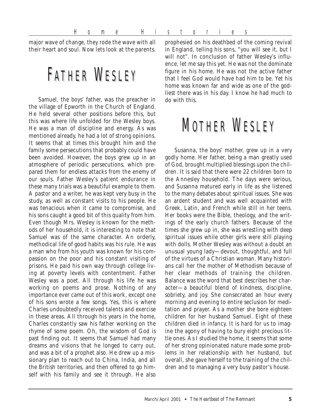major wave of change, they rode the wave with all their heart and soul. Now lets look at the parents.

# **FATHER WESLEY**

Samuel, the boys' father, was the preacher in the village of Epworth in the Church of England. He held several other positions before this, but this was where life unfolded for the Wesley boys. He was a man of discipline and energy. As was mentioned already, he had a lot of strong opinions. It seems that at times this brought him and the family some persecutions that probably could have been avoided. However, the boys grew up in an atmosphere of periodic persecutions, which prepared them for endless attacks from the enemy of our souls. Father Wesley's patient endurance in these many trials was a beautiful example to them. A pastor and a writer, he was kept very busy in the study, as well as constant visits to his people. He was tenacious when it came to compromise, and his sons caught a good bit of this quality from him. Even though Mrs. Wesley is known for the methods of her household, it is interesting to note that Samuel was of the same character. An orderly, methodical life of good habits was his rule. He was a man who from his youth was known for his compassion on the poor and his constant visiting of prisons. He paid his own way through college living at poverty levels with contentment. Father Wesley was a poet. All through his life he was working on poems and prose. Nothing of any importance ever came out of this work, except one of his sons wrote a few songs. Yes, this is where Charles undoubtedly received talents and exercise in these areas. All through his years in the home, Charles constantly saw his father working on the rhyme of some poem. Oh, the wisdom of God is past finding out. It seems that Samuel had many dreams and visions that he longed to carry out, and was a bit of a prophet also. He drew up a missionary plan to reach out to China, India, and all the British territories, and then offered to go himself with his family and see it through. He also

prophesied on his deathbed of the coming revival in England, telling his sons, "you will see it, but I will not". In conclusion of father Wesley's influence, let me say this yet. He was not the dominate figure in his home. He was not the active father that I feel God would have had him to be. Yet his home was known far and wide as one of the godliest there was in his day. I know he had much to do with this.

# **MOTHER WESLEY**

Susanna, the boys' mother, grew up in a very godly home. Her father, being a man greatly used of God, brought multiplied blessings upon the children. It is said that there were 22 children born to the Annesley household. The days were serious, and Susanna matured early in life as she listened to the many debates about spiritual issues. She was an ardent student and was well acquainted with Greek, Latin, and French while still in her teens. Her books were the Bible, theology, and the writings of the early church fathers. Because of the times she grew up in, she was wrestling with deep spiritual issues while other girls were still playing with dolls. Mother Wesley was without a doubt an unusual young lady—devout, thoughtful, and full of the virtues of a Christian woman. Many historians call her the mother of Methodism because of her clear methods of training the children. Balance was the word that best describes her character—a beautiful blend of kindness, discipline, sobriety, and joy. She consecrated an hour every morning and evening to entire seclusion for meditation and prayer. As a mother she bore eighteen children for her husband Samuel. Eight of these children died in infancy. It is hard for us to imagine the agony of having to bury eight precious little ones. As I studied the home, it seems that some of her strong opinionated nature made some problems in her relationship with her husband, but overall, she gave herself to the training of the children and to managing a very busy pastor's house.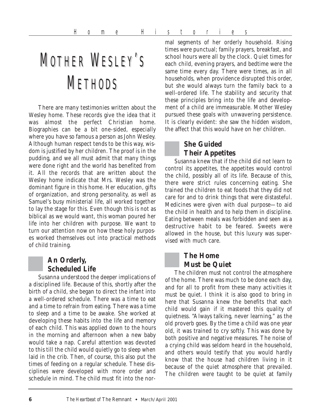# MOTHER WESLEY'S **METHODS**

There are many testimonies written about the Wesley home. These records give the idea that it was almost the perfect Christian home. Biographies can be a bit one-sided, especially where you have so famous a person as John Wesley. Although human respect tends to be this way, wisdom is justified by her children. The proof is in the pudding, and we all must admit that many things were done right and the world has benefited from it. All the records that are written about the Wesley home indicate that Mrs. Wesley was the dominant figure in this home. Her education, gifts of organization, and strong personality, as well as Samuel's busy ministerial life, all worked together to lay the stage for this. Even though this is not as biblical as we would want, this woman poured her life into her children with purpose. We want to turn our attention now on how these holy purposes worked themselves out into practical methods of child training.

### **An Orderly, Scheduled Life**

Susanna understood the deeper implications of a disciplined life. Because of this, shortly after the birth of a child, she began to direct the infant into a well-ordered schedule. There was a time to eat and a time to refrain from eating. There was a time to sleep and a time to be awake. She worked at developing these habits into the life and memory of each child. This was applied down to the hours in the morning and afternoon when a new baby would take a nap. Careful attention was devoted to this till the child would quietly go to sleep when laid in the crib. Then, of course, this also put the times of feeding on a regular schedule. These disciplines were developed with more order and schedule in mind. The child must fit into the normal segments of her orderly household. Rising times were punctual; family prayers, breakfast, and school hours were all by the clock. Quiet times for each child, evening prayers, and bedtime were the same time every day. There were times, as in all households, when providence disrupted this order, but she would always turn the family back to a well-ordered life. The stability and security that these principles bring into the life and development of a child are immeasurable. Mother Wesley pursued these goals with unwavering persistence. It is clearly evident: she saw the hidden wisdom, the affect that this would have on her children.

## **She Guided Their Appetites**

Susanna knew that if the child did not learn to control its appetites, the appetites would control the child, possibly all of its life. Because of this, there were strict rules concerning eating. She trained the children to eat foods that they did not care for and to drink things that were distasteful. Medicines were given with dual purpose—to aid the child in health and to help them in discipline. Eating between meals was forbidden and seen as a destructive habit to be feared. Sweets were allowed in the house, but this luxury was supervised with much care.

### **The Home Must be Quiet**

The children must not control the atmosphere of the home. There was much to be done each day, and for all to profit from these many activities it must be quiet. I think it is also good to bring in here that Susanna knew the benefits that each child would gain if it mastered this quality of quietness. "Always talking, never learning," as the old proverb goes. By the time a child was one year old, it was trained to cry softly. This was done by both positive and negative measures. The noise of a crying child was seldom heard in the household, and others would testify that you would hardly know that the house had children living in it because of the quiet atmosphere that prevailed. The children were taught to be quiet at family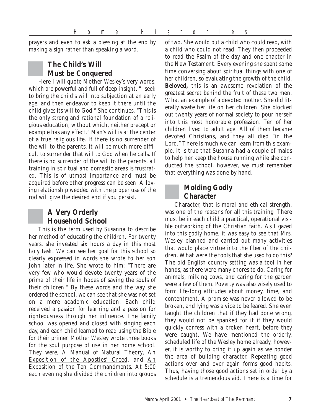prayers and even to ask a blessing at the end by making a sign rather than speaking a word.

### **The Child's Will Must be Conquered**

Here I will quote Mother Wesley's very words, which are powerful and full of deep insight. "I seek to bring the child's will into subjection at an early age, and then endeavor to keep it there until the child gives its will to God." She continues, "This is the only strong and rational foundation of a religious education, without which, neither precept or example has any effect." Man's will is at the center of a true religious life. If there is no surrender of the will to the parents, it will be much more difficult to surrender that will to God when he calls. If there is no surrender of the will to the parents, all training in spiritual and domestic areas is frustrated. This is of utmost importance and must be acquired before other progress can be seen. A loving relationship wedded with the proper use of the rod will give the desired end if you persist.

### **A Very Orderly Household School**

This is the term used by Susanna to describe her method of educating the children. For twenty years, she invested six hours a day in this most holy task. We can see her goal for this school so clearly expressed in words she wrote to her son John later in life. She wrote to him: "There are very few who would devote twenty years of the prime of their life in hopes of saving the souls of their children." By these words and the way she ordered the school, we can see that she was not set on a mere academic education. Each child received a passion for learning and a passion for righteousness through her influence. The family school was opened and closed with singing each day, and each child learned to read using the Bible for their primer. Mother Wesley wrote three books for the soul purpose of use in her home school. They were, A Manual of Natural Theory, An Exposition of the Apostles' Creed, and An Exposition of the Ten Commandments. At 5:00 each evening she divided the children into groups

of two. She would put a child who could read, with a child who could not read. They then proceeded to read the Psalm of the day and one chapter in the New Testament. Every evening she spent some time conversing about spiritual things with one of her children, so evaluating the growth of the child. **Beloved,** this is an awesome revelation of the greatest secret behind the fruit of these two men. What an example of a devoted mother. She did literally waste her life on her children. She blocked out twenty years of normal society to pour herself into this most honorable profession. Ten of her children lived to adult age. All of them became devoted Christians, and they all died "in the Lord." There is much we can learn from this example. It is true that Susanna had a couple of maids to help her keep the house running while she conducted the school, however, we must remember that everything was done by hand.

## **Molding Godly Character**

Character, that is moral and ethical strength, was one of the reasons for all this training. There must be in each child a practical, operational visible outworking of the Christian faith. As I gazed into this godly home, it was easy to see that Mrs. Wesley planned and carried out many activities that would place virtue into the fiber of the children. What were the tools that she used to do this? The old English country setting was a tool in her hands, as there were many chores to do. Caring for animals, milking cows, and caring for the garden were a few of them. Poverty was also wisely used to form life-long attitudes about money, time, and contentment. A promise was never allowed to be broken, and lying was a vice to be feared. She even taught the children that if they had done wrong, they would not be spanked for it if they would quickly confess with a broken heart, before they were caught. We have mentioned the orderly, scheduled life of the Wesley home already, however, it is worthy to bring it up again as we ponder the area of building character. Repeating good actions over and over again forms good habits. Thus, having those good actions set in order by a schedule is a tremendous aid. There is a time for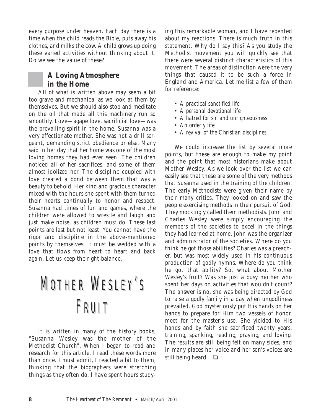every purpose under heaven. Each day there is a time when the child reads the Bible, puts away his clothes, and milks the cow. A child grows up doing these varied activities without thinking about it. Do we see the value of these?

### **A Loving Atmosphere in the Home**

All of what is written above may seem a bit too grave and mechanical as we look at them by themselves. But we should also stop and meditate on the oil that made all this machinery run so smoothly. Love—agape love, sacrificial love—was the prevailing spirit in the home. Susanna was a very affectionate mother. She was not a drill sergeant, demanding strict obedience or else. Many said in her day that her home was one of the most loving homes they had ever seen. The children noticed all of her sacrifices, and some of them almost idolized her. The discipline coupled with love created a bond between them that was a beauty to behold. Her kind and gracious character mixed with the hours she spent with them turned their hearts continually to honor and respect. Susanna had times of fun and games, where the children were allowed to wrestle and laugh and just make noise, as children must do. These last points are last but not least. You cannot have the rigor and discipline in the above-mentioned points by themselves. It must be wedded with a love that flows from heart to heart and back again. Let us keep the right balance.

# **MOTHER WESLEY'S** FRUIT

It is written in many of the history books, "Susanna Wesley was the mother of the Methodist Church". When I began to read and research for this article, I read these words more than once. I must admit, I reacted a bit to them, thinking that the biographers were stretching things as they often do. I have spent hours studying this remarkable woman, and I have repented about my reactions. There is much truth in this statement. Why do I say this? As you study the Methodist movement you will quickly see that there were several distinct characteristics of this movement. The areas of distinction were the very things that caused it to be such a force in England and America. Let me list a few of them for reference:

- *A practical sanctified life*
- *A personal devotional life*
- *A hatred for sin and unrighteousness*
- *An orderly life*
- *A revival of the Christian disciplines*

We could increase the list by several more points, but these are enough to make my point and the point that most historians make about Mother Wesley. As we look over the list we can easily see that these are some of the very methods that Susanna used in the training of the children. The early Methodists were given their name by their many critics. They looked on and saw the people exercising methods in their pursuit of God. They mockingly called them methodists. John and Charles Wesley were simply encouraging the members of the societies to excel in the things they had learned at home. John was the organizer and administrator of the societies. Where do you think he got those abilities? Charles was a preacher, but was most widely used in his continuous production of godly hymns. Where do you think he got that ability? So, what about Mother Wesley's fruit? Was she just a busy mother who spent her days on activities that wouldn't count? The answer is no, she was being directed by God to raise a godly family in a day when ungodliness prevailed. God mysteriously put His hands on her hands to prepare for Him two vessels of honor, meet for the master's use. She yielded to His hands and by faith she sacrificed twenty years, training, spanking, reading, praying, and loving. The results are still being felt on many sides, and in many places her voice and her son's voices are still being heard. ❏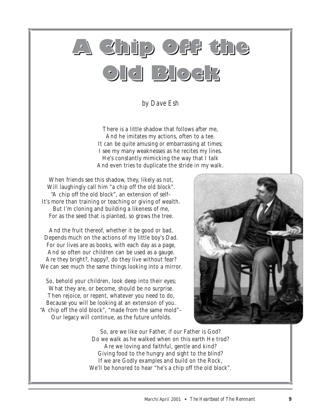

*by Dave Esh*

There is a little shadow that follows after me, And he imitates my actions, often to a tee. It can be quite amusing or embarrassing at times; I see my many weaknesses as he recites my lines. He's constantly mimicking the way that I talk And even tries to duplicate the stride in my walk.

When friends see this shadow, they, likely as not, Will laughingly call him "a chip off the old block". "A chip off the old block", an extension of self– It's more than training or teaching or giving of wealth. But I'm cloning and building a likeness of me, For as the seed that is planted, so grows the tree.

And the fruit thereof, whether it be good or bad, Depends much on the actions of my little boy's Dad. For our lives are as books, with each day as a page, And so often our children can be used as a gauge. Are they bright?, happy?, do they live without fear? We can see much the same things looking into a mirror.

So, behold your children, look deep into their eyes; What they are, or become, should be no surprise. Then rejoice, or repent, whatever you need to do, Because you will be looking at an extension of you. "A chip off the old block", "made from the same mold"– Our legacy will continue, as the future unfolds.



So, are we like our Father, if our Father is God? Do we walk as he walked when on this earth He trod? Are we loving and faithful, gentle and kind? Giving food to the hungry and sight to the blind? If we are Godly examples and build on the Rock, We'll be honored to hear "he's a chip off the old block".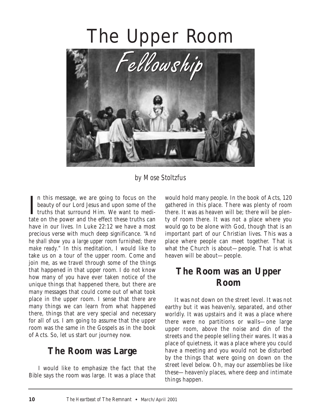# The Upper Room



*by Mose Stoltzfus*

In this message, we are going to focus on the beauty of our Lord Jesus and upon some of the truths that surround Him. We want to meditate on the power and the effect these truths can n this message, we are going to focus on the beauty of our Lord Jesus and upon some of the truths that surround Him. We want to medihave in our lives. In Luke 22:12 we have a most precious verse with much deep significance. *"And he shall show you a large upper room furnished; there make ready."* In this meditation, I would like to take us on a tour of the upper room. Come and join me, as we travel through some of the things that happened in that upper room. I do not know how many of you have ever taken notice of the unique things that happened there, but there are many messages that could come out of what took place in the upper room. I sense that there are many things we can learn from what happened there, things that are very special and necessary for all of us. I am going to assume that the upper room was the same in the Gospels as in the book of Acts. So, let us start our journey now.

## **The Room was Large**

I would like to emphasize the fact that the Bible says the room was large. It was a place that would hold many people. In the book of Acts, 120 gathered in this place. There was plenty of room there. It was as heaven will be; there will be plenty of room there. It was not a place where you would go to be alone with God, though that is an important part of our Christian lives. This was a place where people can meet together. That is what the Church is about—people. That is what heaven will be about—people.

# **The Room was an Upper Room**

It was not down on the street level. It was not earthy but it was heavenly, separated, and other worldly. It was upstairs and it was a place where there were no partitions or walls—one large upper room, above the noise and din of the streets and the people selling their wares. It was a place of quietness, it was a place where you could have a meeting and you would not be disturbed by the things that were going on down on the street level below. Oh, may our assemblies be like these—heavenly places, where deep and intimate things happen.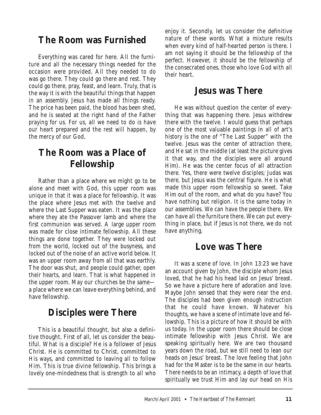## **The Room was Furnished**

Everything was cared for here. All the furniture and all the necessary things needed for the occasion were provided. All they needed to do was go there. They could go there and rest. They could go there, pray, feast, and learn. Truly, that is the way it is with the beautiful things that happen in an assembly. Jesus has made all things ready. The price has been paid, the blood has been shed, and he is seated at the right hand of the Father praying for us. For us, all we need to do is have our heart prepared and the rest will happen, by the mercy of our God.

# **The Room was a Place of Fellowship**

Rather than a place where we might go to be alone and meet with God, this upper room was unique in that it was a place for fellowship. It was the place where Jesus met with the twelve and where the Last Supper was eaten. It was the place where they ate the Passover lamb and where the first communion was served. A large upper room was made for close intimate fellowship. All these things are done together. They were locked out from the world, locked out of the busyness, and locked out of the noise of an active world below. It was an upper room away from all that was earthly. The door was shut, and people could gather, open their hearts, and learn. That is what happened in the upper room. May our churches be the same a place where we can leave everything behind, and have fellowship.

# **Disciples were There**

This is a beautiful thought, but also a definitive thought. First of all, let us consider the beautiful. What is a disciple? He is a follower of Jesus Christ. He is committed to Christ, committed to His ways, and committed to leaving all to follow Him. This is true divine fellowship. This brings a lovely one-mindedness that is strength to all who enjoy it. Secondly, let us consider the definitive nature of these words. What a mixture results when every kind of half-hearted person is there. I am not saying it should be the fellowship of the perfect. However, it should be the fellowship of the consecrated ones, those who love God with all their heart.

## **Jesus was There**

He was without question the center of everything that was happening there. Jesus withdrew there with the twelve. I would guess that perhaps one of the most valuable paintings in all of art's history is the one of "The Last Supper" with the twelve. Jesus was the center of attraction there, and He sat in the middle (at least the picture gives it that way, and the disciples were all around Him). He was the center focus of all attraction there. Yes, there were twelve disciples; Judas was there, but Jesus was the central figure. He is what made this upper room fellowship so sweet. Take Him out of the room, and what do you have? You have nothing but religion. It is the same today in our assemblies. We can have the people there. We can have all the furniture there. We can put everything in place, but if Jesus is not there, we do not have anything.

## **Love was There**

It was a scene of love. In John 13:23 we have an account given by John, the disciple whom Jesus loved, that he had his head laid on Jesus' breast. So we have a picture here of adoration and love. Maybe John sensed that they were near the end. The disciples had been given enough instruction that he could have known. Whatever his thoughts, we have a scene of intimate love and fellowship. This is a picture of how it should be with us today. In the upper room there should be close intimate fellowship with Jesus Christ. We are speaking spiritually here. We are two thousand years down the road, but we still need to lean our heads on Jesus' breast. The love feeling that John had for the Master is to be the same in our hearts. There needs to be an intimacy, a depth of love that spiritually we trust Him and lay our head on His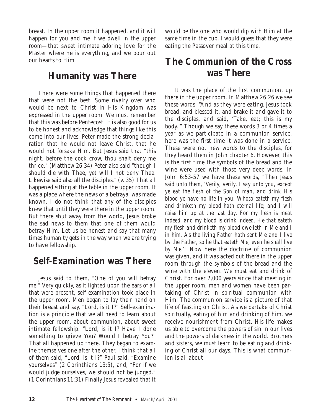breast. In the upper room it happened, and it will happen for you and me if we dwell in the upper room—that sweet intimate adoring love for the Master where he is everything, and we pour out our hearts to Him.

## **Humanity was There**

There were some things that happened there that were not the best. Some rivalry over who would be next to Christ in His Kingdom was expressed in the upper room. We must remember that this was before Pentecost. It is also good for us to be honest and acknowledge that things like this come into our lives. Peter made the strong declaration that he would not leave Christ, that he would not forsake Him. But Jesus said that "this night, before the cock crow, thou shalt deny me thrice." (Matthew 26:34) Peter also said "though I should die with Thee, yet will I not deny Thee. Likewise said also all the disciples." (v. 35) That all happened sitting at the table in the upper room. It was a place where the news of a betrayal was made known. I do not think that any of the disciples knew that until they were there in the upper room. But there shut away from the world, Jesus broke the sad news to them that one of them would betray Him. Let us be honest and say that many times humanity gets in the way when we are trying to have fellowship.

## **Self-Examination was There**

Jesus said to them, "One of you will betray me." Very quickly, as it lighted upon the ears of all that were present, self-examination took place in the upper room. Men began to lay their hand on their breast and say, "Lord, is it I?" Self-examination is a principle that we all need to learn about the upper room, about communion, about sweet intimate fellowship. "Lord, is it I? Have I done something to grieve You? Would I betray You?" That all happened up there. They began to examine themselves one after the other. I think that all of them said, "Lord, is it I?" Paul said, "Examine yourselves" (2 Corinthians 13:5), and, "For if we would judge ourselves, we should not be judged." (1 Corinthians 11:31) Finally Jesus revealed that it

would be the one who would dip with Him at the same time in the cup. I would guess that they were eating the Passover meal at this time.

# **The Communion of the Cross was There**

It was the place of the first communion, up there in the upper room. In Matthew 26:26 we see these words, "And as they were eating, Jesus took bread, and blessed it, and brake it and gave it to the disciples, and said, 'Take, eat; this is my body.'" Though we say these words 3 or 4 times a year as we participate in a communion service, here was the first time it was done in a service. These were not new words to the disciples, for they heard them in John chapter 6. However, this is the first time the symbols of the bread and the wine were used with those very deep words. In John 6:53-57 we have these words, "*Then Jesus said unto them, 'Verily, verily, I say unto you, except ye eat the flesh of the Son of man, and drink His blood ye have no life in you. Whoso eateth my flesh and drinketh my blood hath eternal life; and I will raise him up at the last day. For my flesh is meat indeed, and my blood is drink indeed. He that eateth my flesh and drinketh my blood dwelleth in Me and I in him. As the living Father hath sent Me and I live by the Father, so he that eateth Me, even he shall live by Me.'"* Now here the doctrine of communion was given, and it was acted out there in the upper room through the symbols of the bread and the wine with the eleven. We must eat and drink of Christ. For over 2,000 years since that meeting in the upper room, men and women have been partaking of Christ in spiritual communion with Him. The communion service is a picture of that life of feasting on Christ. As we partake of Christ spiritually, eating of him and drinking of him, we receive nourishment from Christ. His life makes us able to overcome the powers of sin in our lives and the powers of darkness in the world. Brothers and sisters, we must learn to be eating and drinking of Christ all our days. This is what communion is all about.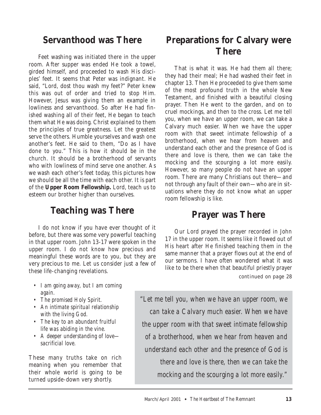## **Servanthood was There**

Feet washing was initiated there in the upper room. After supper was ended He took a towel, girded himself, and proceeded to wash His disciples' feet. It seems that Peter was indignant. He said, "Lord, dost thou wash my feet?" Peter knew this was out of order and tried to stop Him. However, Jesus was giving them an example in lowliness and servanthood. So after He had finished washing all of their feet, He began to teach them what He was doing. Christ explained to them the principles of true greatness. Let the greatest serve the others. Humble yourselves and wash one another's feet. He said to them, "Do as I have done to you." This is how it should be in the church. It should be a brotherhood of servants who with lowliness of mind serve one another. As we wash each other's feet today, this pictures how we should be all the time with each other. It is part of the **Upper Room Fellowship.** Lord, teach us to esteem our brother higher than ourselves.

## **Teaching was There**

I do not know if you have ever thought of it before, but there was some very powerful teaching in that upper room. John 13-17 were spoken in the upper room. I do not know how precious and meaningful these words are to you, but they are very precious to me. Let us consider just a few of these life-changing revelations.

- *I am going away, but I am coming again.*
- *The promised Holy Spirit.*
- *An intimate spiritual relationship with the living God.*
- *The key to an abundant fruitful life was abiding in the vine.*
- *A deeper understanding of love sacrificial love.*

These many truths take on rich meaning when you remember that their whole world is going to be turned upside-down very shortly.

# **Preparations for Calvary were There**

That is what it was. He had them all there; they had their meal; He had washed their feet in chapter 13. Then He proceeded to give them some of the most profound truth in the whole New Testament, and finished with a beautiful closing prayer. Then He went to the garden, and on to cruel mockings, and then to the cross. Let me tell you, when we have an upper room, we can take a Calvary much easier. When we have the upper room with that sweet intimate fellowship of a brotherhood, when we hear from heaven and understand each other and the presence of God is there and love is there, then we can take the mocking and the scourging a lot more easily. However, so many people do not have an upper room. There are many Christians out there—and not through any fault of their own—who are in situations where they do not know what an upper room fellowship is like.

## **Prayer was There**

Our Lord prayed the prayer recorded in John 17 in the upper room. It seems like it flowed out of His heart after He finished teaching them in the same manner that a prayer flows out at the end of our sermons. I have often wondered what it was like to be there when that beautiful priestly prayer *continued on page 28*

*"Let me tell you, when we have an upper room, we can take a Calvary much easier. When we have the upper room with that sweet intimate fellowship of a brotherhood, when we hear from heaven and understand each other and the presence of God is there and love is there, then we can take the mocking and the scourging a lot more easily."*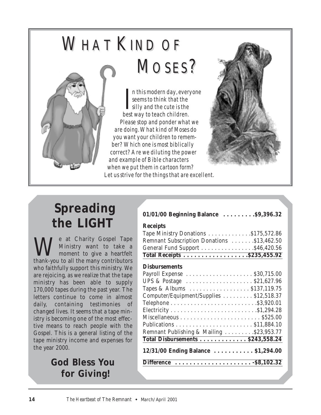# WHAT KIND OF MOSES?

In this modern day, even<br>seems to think that the<br>silly and the cute is the<br>best way to teach children. n this modern day, everyone seems to think that the silly and the cute is the Please stop and ponder what we are doing. What kind of Moses do you want your children to remember? Which one is most biblically correct? Are we diluting the power and example of Bible characters when we put them in cartoon form? Let us strive for the things that are excellent.



# **Spreading the LIGHT**

We at Charity Gospel Tape Ministry want to take a moment to give a heartfelt thank-you to all the many contributors who faithfully support this ministry. We are rejoicing, as we realize that the tape ministry has been able to supply 170,000 tapes during the past year. The letters continue to come in almost daily, containing testimonies of changed lives. It seems that a tape ministry is becoming one of the most effective means to reach people with the Gospel. This is a general listing of the tape ministry income and expenses for the year 2000.

> **God Bless You for Giving!**

# **01/01/00 Beginning Balance . . . . . . . . .\$9,396.32**

#### **Receipts**

| Tape Ministry Donations \$175,572.86 |  |
|--------------------------------------|--|

#### **Disbursements**

| UPS & Postage  \$21,627.96                                                                         |
|----------------------------------------------------------------------------------------------------|
| Tapes & Albums  \$137,119.75                                                                       |
| Computer/Equipment/Supplies  \$12,518.37                                                           |
|                                                                                                    |
|                                                                                                    |
|                                                                                                    |
|                                                                                                    |
|                                                                                                    |
| Total Disbursements \$243,558.24                                                                   |
| 12/31/00 Ending Balance  \$1,294.00                                                                |
| $\ldots \ldots \ldots \ldots \ldots \ldots \ldots \ldots \ldots$ - \$8,102.32<br><b>Difference</b> |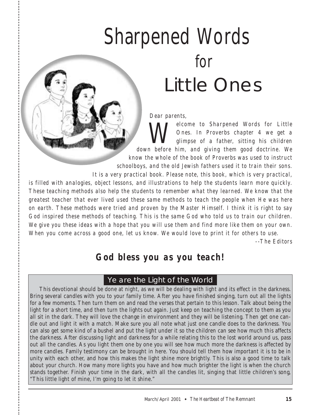# Sharpened Words for Little Ones

*Dear parents,*

*Welcome to Sharpened Words for Little*<br>*Ones. In Proverbs chapter 4 we get a*<br>*defining to a father, sitting his children Ones. In Proverbs chapter 4 we get a glimpse of a father, sitting his children down before him, and giving them good doctrine. We know the whole of the book of Proverbs was used to instruct schoolboys, and the old Jewish fathers used it to train their sons. It is a very practical book. Please note, this book, which is very practical, is filled with analogies, object lessons, and illustrations to help the students learn more quickly. These teaching methods also help the students to remember what they learned. We know that the greatest teacher that ever lived used these same methods to teach the people when He was here on earth. These methods were tried and proven by the Master Himself. I think it is right to say God inspired these methods of teaching. This is the same God who told us to train our children. We give you these ideas with a hope that you will use them and find more like them on your own. When you come across a good one, let us know. We would love to print it for others to use.*

*--The Editors*

# *God bless you as you teach!*

## Ye are the Light of the World

This devotional should be done at night, as we will be dealing with light and its effect in the darkness. Bring several candles with you to your family time. After you have finished singing, turn out all the lights for a few moments. Then turn them on and read the verses that pertain to this lesson. Talk about being the light for a short time, and then turn the lights out again. Just keep on teaching the concept to them as you all sit in the dark. They will love the change in environment and they will be listening. Then get one candle out and light it with a match. Make sure you all note what just one candle does to the darkness. You can also get some kind of a bushel and put the light under it so the children can see how much this affects the darkness. After discussing light and darkness for a while relating this to the lost world around us, pass out all the candles. As you light them one by one you will see how much more the darkness is affected by more candles. Family testimony can be brought in here. You should tell them how important it is to be in unity with each other, and how this makes the light shine more brightly. This is also a good time to talk about your church. How many more lights you have and how much brighter the light is when the church stands together. Finish your time in the dark, with all the candles lit, singing that little children's song, "This little light of mine, I'm going to let it shine."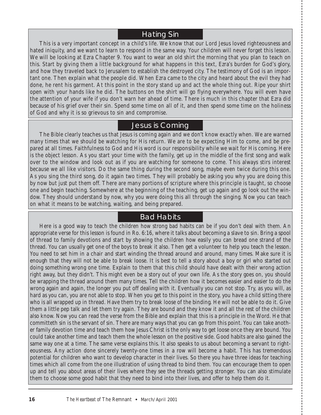#### Hating Sin

This is a very important concept in a child's life. We know that our Lord Jesus loved righteousness and hated iniquity, and we want to learn to respond in the same way. Your children will never forget this lesson. We will be looking at Ezra Chapter 9. You want to wear an old shirt the morning that you plan to teach on this. Start by giving them a little background for what happens in this text, Ezra's burden for God's glory, and how they traveled back to Jerusalem to establish the destroyed city. The testimony of God is an important one. Then explain what the people did. When Ezra came to the city and heard about the evil they had done, he rent his garment. At this point in the story stand up and act the whole thing out. Ripe your shirt open with your hands like he did. The buttons on the shirt will go flying everywhere. You will even have the attention of your wife if you don't warn her ahead of time. There is much in this chapter that Ezra did because of his grief over their sin. Spend some time on all of it, and then spend some time on the holiness of God and why it is so grievous to sin and compromise.

#### Jesus is Coming

The Bible clearly teaches us that Jesus is coming again and we don't know exactly when. We are warned many times that we should be watching for His return. We are to be expecting Him to come, and be prepared at all times. Faithfulness to God and His word is our responsibility while we wait for His coming. Here is the object lesson. As you start your time with the family, get up in the middle of the first song and walk over to the window and look out as if you are watching for someone to come. This always stirs interest because we all like visitors. Do the same thing during the second song, maybe even twice during this one. As you sing the third song, do it again two times. They will probably be asking you why you are doing this by now but just put them off. There are many portions of scripture where this principle is taught, so choose one and begin teaching. Somewhere at the beginning of the teaching, get up again and go look out the window. They should understand by now, why you were doing this all through the singing. Now you can teach on what it means to be watching, waiting, and being prepared.

### **Bad Habits**

Here is a good way to teach the children how strong bad habits can be if you don't deal with them. An appropriate verse for this lesson is found in Ro. 6:16, where it talks about becoming a slave to sin. Bring a spool of thread to family devotions and start by showing the children how easily you can bread one strand of the thread. You can usually get one of the boys to break it also. Then get a volunteer to help you teach the lesson. You need to set him in a chair and start winding the thread around and around, many times. Make sure it is enough that they will not be able to break loose. It is best to tell a story about a boy or girl who started out doing something wrong one time. Explain to them that this child should have dealt with their wrong action right away, but they didn't. This might even be a story out of your own life. As the story goes on, you should be wrapping the thread around them many times. Tell the children how it becomes easier and easier to do the wrong again and again, the longer you put off dealing with it. Eventually you can not stop. Try, as you will, as hard as you can, you are not able to stop. When you get to this point in the story, you have a child sitting there who is all wrapped up in thread. Have them try to break loose of the binding. He will not be able to do it. Give them a little pep talk and let them try again. They are bound and they know it and all the rest of the children also know. Now you can read the verse from the Bible and explain that this is a principle in the Word. He that committeth sin is the servant of sin. There are many ways that you can go from this point. You can take another family devotion time and teach them how Jesus Christ is the only way to get loose once they are bound. You could take another time and teach them the whole lesson on the positive side. Good habits are also gained the same way one at a time. The same verse explains this. It also speaks to us about becoming a servant to righteousness. Any action done sincerely twenty-one times in a row will become a habit. This has tremendous potential for children who want to develop character in their lives. So there you have three ideas for teaching times which all come from the one illustration of using thread to bind them. You can encourage them to open up and tell you about areas of their lives where they see the threads getting stronger. You can also stimulate them to choose some good habit that they need to bind into their lives, and offer to help them do it.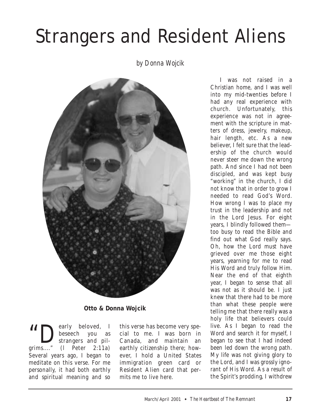# Strangers and Resident Aliens

*by Donna Wojcik*



**Otto & Donna Wojcik**

66 Dearly beloved, I<br>beseech you as<br>strangers and pilbeseech you as grims...." (l Peter 2:11a) Several years ago, I began to meditate on this verse. For me personally, it had both earthly and spiritual meaning and so this verse has become very special to me. I was born in Canada, and maintain an earthly citizenship there; however, I hold a United States immigration green card or Resident Alien card that permits me to live here.

I was not raised in a Christian home, and I was well into my mid-twenties before I had any real experience with church. Unfortunately, this experience was not in agreement with the scripture in matters of dress, jewelry, makeup, hair length, etc. As a new believer, I felt sure that the leadership of the church would never steer me down the wrong path. And since I had not been discipled, and was kept busy "working" in the church, I did not know that in order to grow I needed to read God's Word. How wrong I was to place my trust in the leadership and not in the Lord Jesus. For eight years, I blindly followed them too busy to read the Bible and find out what God really says. Oh, how the Lord must have grieved over me those eight years, yearning for me to read His Word and truly follow Him. Near the end of that eighth year, I began to sense that all was not as it should be. I just knew that there had to be more than what these people were telling me that there really was a holy life that believers could live. As I began to read the Word and search it for myself, I began to see that I had indeed been led down the wrong path. My life was not giving glory to the Lord, and I was grossly ignorant of His Word. As a result of the Spirit's prodding, I withdrew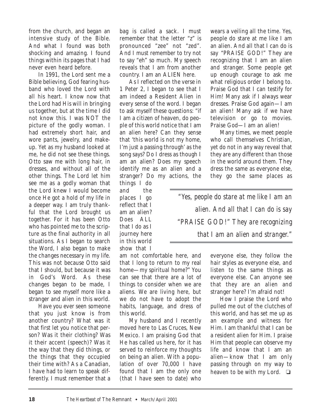from the church, and began an intensive study of the Bible. And what I found was both shocking and amazing. I found things within its pages that I had never even heard before.

In 1991, the Lord sent me a Bible believing, God fearing husband who loved the Lord with all his heart. I know now that the Lord had His will in bringing us together, but at the time I did not know this. I was NOT the picture of the godly woman. I had extremely short hair, and wore pants, jewelry, and makeup. Yet as my husband looked at me, he did not see these things. Otto saw me with long hair, in dresses, and without all of the other things. The Lord let him see me as a godly woman that the Lord knew I would become once He got a hold of my life in a deeper way. I am truly thankful that the Lord brought us together. For it has been Otto who has pointed me to the scripture as the final authority in all situations. As I began to search the Word, I also began to make the changes necessary in my life. This was not because Otto said that I should, but because it was in God's Word. As these changes began to be made, I began to see myself more like a stranger and alien in this world.

Have you ever seen someone that you just know is from another country? What was it that first let you notice that person? Was it their clothing? Was it their accent (speech)? Was it the way that they did things, or the things that they occupied their time with? As a Canadian, I have had to learn to speak differently. I must remember that a

bag is called a sack. I must remember that the letter "z" is pronounced "zee" not "zed". And I must remember to try not to say "eh" so much. My speech reveals that I am from another country. I am an ALIEN here.

As I reflected on the verse in 1 Peter 2, I began to see that I am indeed a Resident Alien in every sense of the word. I began to ask myself these questions: "if I am a citizen of heaven, do people of this world notice that I am an alien here? Can they sense that 'this world is not my home, I'm just a passing through' as the song says? Do I dress as though I am an alien? Does my speech identify me as an alien and a stranger? Do my actions, the

things I do and the places I go reflect that I am an alien? Does ALL that I do as I journey here in this world show that I

am not comfortable here, and that I long to return to my real home—my spiritual home?" You can see that there are a lot of things to consider when we are aliens. We are living here, but we do not have to adopt the habits, language, and dress of this world.

My husband and I recently moved here to Las Cruces, New Mexico. I am praising God that He has called us here, for it has served to reinforce my thoughts on being an alien. With a population of over 70,000 I have found that I am the only one (that I have seen to date) who

wears a veiling all the time. Yes, people do stare at me like I am an alien. And all that I can do is say "PRAISE GOD!" They are recognizing that I am an alien and stranger. Some people get up enough courage to ask me what religious order I belong to. Praise God that I can testify for Him! Many ask if I always wear dresses. Praise God again—I am an alien! Many ask if we have television or go to movies. Praise God—I am an alien!

Many times, we meet people who call themselves Christian, yet do not in any way reveal that they are any different than those in the world around them. They dress the same as everyone else, they go the same places as

*"Yes, people do stare at me like I am an alien. And all that I can do is say "PRAISE GOD!" They are recognizing that I am an alien and stranger."*

> everyone else, they follow the hair styles as everyone else, and listen to the same things as everyone else. Can anyone see that they are an alien and stranger here? I'm afraid not!

> How I praise the Lord who pulled me out of the clutches of this world, and has set me up as an example and witness for Him. I am thankful that I can be a resident alien for Him. I praise Him that people can observe my life and know that I am an alien—know that I am only passing through on my way to heaven to be with my Lord. <del>□</del>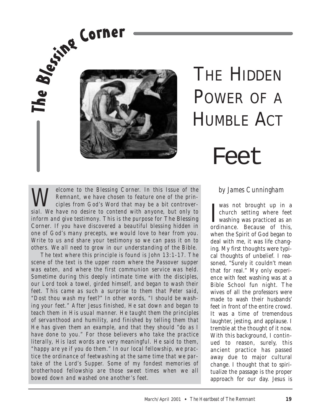

# THE HIDDEN POWER OF A HUMBLE ACT

Feet

*Welcome to the Blessing Corner. In this Issue of the*<br>*Remnant, we have chosen to feature one of the principles from God's Word that may be a bit controver-Remnant, we have chosen to feature one of the principles from God's Word that may be a bit controversial. We have no desire to contend with anyone, but only to inform and give testimony. This is the purpose for* The Blessing Corner*. If you have discovered a beautiful blessing hidden in one of God's many precepts, we would love to hear from you. Write to us and share your testimony so we can pass it on to others. We all need to grow in our understanding of the Bible.* 

*The text where this principle is found is John 13:1-17. The scene of the text is the upper room where the Passover supper was eaten, and where the first communion service was held. Sometime during this deeply intimate time with the disciples, our Lord took a towel, girded himself, and began to wash their feet. This came as such a surprise to them that Peter said, "Dost thou wash my feet?" In other words, "I should be washing your feet." After Jesus finished, He sat down and began to teach them in His usual manner. He taught them the principles of servanthood and humility, and finished by telling them that He has given them an example, and that they should "do as I have done to you." For those believers who take the practice literally, His last words are very meaningful. He said to them, "happy are ye if you do them." In our local fellowship, we practice the ordinance of feetwashing at the same time that we partake of the Lord's Supper. Some of my fondest memories of brotherhood fellowship are those sweet times when we all bowed down and washed one another's feet.*

#### *by James Cunningham*

I was not brought up in a<br>church setting where feet<br>washing was practiced as an was not brought up in a church setting where feet ordinance. Because of this, when the Spirit of God began to deal with me, it was life changing. My first thoughts were typical thoughts of unbelief. I reasoned, "Surely it couldn't mean that for real." My only experience with feet washing was at a Bible School fun night. The wives of all the professors were made to wash their husbands' feet in front of the entire crowd. It was a time of tremendous laughter, jesting, and applause. I tremble at the thought of it now. With this background, I continued to reason, surely, this ancient practice has passed away due to major cultural change. I thought that to spiritualize the passage is the proper approach for our day. Jesus is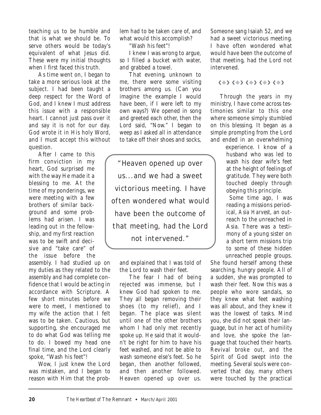teaching us to be humble and that is what we should be. To serve others would be today's equivalent of what Jesus did. These were my initial thoughts when I first faced this truth.

As time went on, I began to take a more serious look at the subject. I had been taught a deep respect for the Word of God, and I knew I must address this issue with a responsible heart. I cannot just pass over it and say it is not for our day. God wrote it in His holy Word, and I must accept this without question.

After I came to this firm conviction in my heart, God surprised me with the way He made it a blessing to me. At the time of my ponderings, we were meeting with a few brothers of similar background and some problems had arisen. I was leading out in the fellowship, and my first reaction was to be swift and decisive and "take care" of the issue before the

assembly. I had studied up on my duties as they related to the assembly and had complete confidence that I would be acting in accordance with Scripture. A few short minutes before we were to meet, I mentioned to my wife the action that I felt was to be taken. Cautious, but supporting, she encouraged me to do what God was telling me to do. I bowed my head one final time, and the Lord clearly spoke, "Wash his feet"!

Wow, I just knew the Lord was mistaken, and I began to reason with Him that the problem had to be taken care of, and what would this accomplish?

"Wash his feet"!

I knew I was wrong to argue, so I filled a bucket with water, and grabbed a towel.

That evening, unknown to me, there were some visiting brothers among us. (Can you imagine the example I would have been, if I were left to my own ways?) We opened in song and greeted each other, then the Lord said, "Now." I began to weep as I asked all in attendance to take off their shoes and socks,

*"Heaven opened up over us...and we had a sweet victorious meeting. I have often wondered what would have been the outcome of that meeting, had the Lord not intervened."*

and explained that I was told of the Lord to wash their feet.

The fear I had of being rejected was immense, but I knew God had spoken to me. They all began removing their shoes (to my relief), and I began. The place was silent until one of the other brothers whom I had only met recently spoke up. He said that it wouldn't be right for him to have his feet washed, and not be able to wash someone else's feet. So he began, then another followed, and then another followed. Heaven opened up over us.

Someone sang Isaiah 52, and we had a sweet victorious meeting. I have often wondered what would have been the outcome of that meeting, had the Lord not intervened.

#### $\{\diamond\}$   $\{\diamond\}$   $\{\diamond\}$   $\{\diamond\}$   $\{\diamond\}$

Through the years in my ministry, I have come across testimonies similar to this one where someone simply stumbled on this blessing. It began as a simple prompting from the Lord and ended in an overwhelming

experience. I know of a husband who was led to wash his dear wife's feet at the height of feelings of gratitude. They were both touched deeply through obeying this principle.

Some time ago, I was reading a missions periodical, *Asia Harvest*, an outreach to the unreached in Asia. There was a testimony of a young sister on a short term missions trip to some of these hidden unreached people groups.

She found herself among these searching, hungry people. All of a sudden, she was prompted to wash their feet. Now this was a people who wore sandals, so they knew what feet washing was all about, and they knew it was the lowest of tasks. Mind you, she did not speak their language, but in her act of humility and love, she spoke the language that touched their hearts. Revival broke out, and the Spirit of God swept into the meeting. Several souls were converted that day, many others were touched by the practical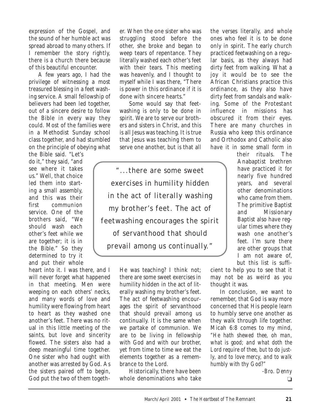expression of the Gospel, and the sound of her humble act was spread abroad to many others. If I remember the story rightly, there is a church there because of this beautiful encounter.

A few years ago, I had the privilege of witnessing a most treasured blessing in a feet washing service. A small fellowship of believers had been led together, out of a sincere desire to follow the Bible in every way they could. Most of the families were in a Methodist Sunday school class together, and had stumbled on the principle of obeying what

the Bible said. "Let's do it," they said, "and see where it takes us." Well, that choice led them into starting a small assembly, and this was their first communion service. One of the brothers said, "We should wash each other's feet while we are together; it is in the Bible." So they determined to try it and put their whole

heart into it. I was there, and I will never forget what happened in that meeting. Men were weeping on each others' necks, and many words of love and humility were flowing from heart to heart as they washed one another's feet. There was no ritual in this little meeting of the saints, but love and sincerity flowed. The sisters also had a deep meaningful time together. One sister who had ought with another was arrested by God. As the sisters paired off to begin, God put the two of them together. When the one sister who was struggling stood before the other, she broke and began to weep tears of repentance. They literally washed each other's feet with their tears. This meeting was heavenly, and I thought to myself while I was there, "There is power in this ordinance if it is done with sincere hearts."

Some would say that feetwashing is only to be done in spirit. We are to serve our brothers and sisters in Christ, and this is all Jesus was teaching. It is true that Jesus was teaching them to serve one another, but is that all

*"...there are some sweet exercises in humility hidden in the act of literally washing my brother's feet. The act of feetwashing encourages the spirit of servanthood that should prevail among us continually."*

> He was teaching? I think not; there are some sweet exercises in humility hidden in the act of literally washing my brother's feet. The act of feetwashing encourages the spirit of servanthood that should prevail among us continually. It is the same when we partake of communion. We are to be living in fellowship with God and with our brother, yet from time to time we eat the elements together as a remembrance to the Lord.

Historically, there have been whole denominations who take

the verses literally, and whole ones who feel it is to be done only in spirit. The early church practiced feetwashing on a regular basis, as they always had dirty feet from walking. What a joy it would be to see the African Christians practice this ordinance, as they also have dirty feet from sandals and walking. Some of the Protestant influence in missions has obscured it from their eyes. There are many churches in Russia who keep this ordinance and Orthodox and Catholic also have it in some small form in

> their rituals. The Anabaptist brethren have practiced it for nearly five hundred years, and several other denominations who came from them. The primitive Baptist and Missionary Baptist also have regular times where they wash one another's feet. I'm sure there are other groups that I am not aware of, but this list is suffi-

cient to help you to see that it may not be as weird as you thought it was.

In conclusion, we want to remember, that God is way more concerned that His people learn to humbly serve one another as they walk through life together. Micah 6:8 comes to my mind, *"He hath shewed thee, oh man, what is good; and what doth the Lord require of thee, but to do justly, and to love mercy, and to walk humbly with thy God?"*

*-Bro. Denny*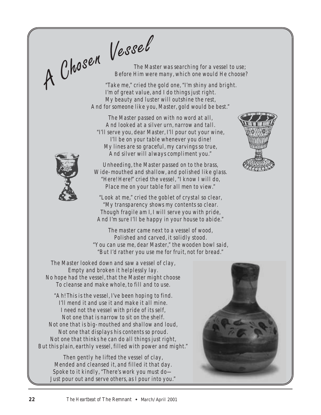Reset The Master was searching for a vessel to use;<br>Before Him were many, which one was all to use; Before Him were many, which one would He choose?

"Take me," cried the gold one, "I'm shiny and bright. I'm of great value, and I do things just right. My beauty and luster will outshine the rest, And for someone like you, Master, gold would be best."

The Master passed on with no word at all, And looked at a silver urn, narrow and tall. "I'll serve you, dear Master, I'll pour out your wine, I'll be on your table whenever you dine! My lines are so graceful, my carvings so true, And silver will always compliment you."

Unheeding, the Master passed on to the brass, Wide-mouthed and shallow, and polished like glass. "Here! Here!" cried the vessel, "I know I will do, Place me on your table for all men to view."

"Look at me," cried the goblet of crystal so clear, "My transparency shows my contents so clear. Though fragile am I, I will serve you with pride, And I'm sure I'll be happy in your house to abide."

The master came next to a vessel of wood, Polished and carved, it solidly stood. "You can use me, dear Master," the wooden bowl said, "But I'd rather you use me for fruit, not for bread."

The Master looked down and saw a vessel of clay, Empty and broken it helplessly lay. No hope had the vessel, that the Master might choose To cleanse and make whole, to fill and to use.

"Ah! This is the vessel, I've been hoping to find. I'll mend it and use it and make it all mine. I need not the vessel with pride of its self, Not one that is narrow to sit on the shelf. Not one that is big-mouthed and shallow and loud, Not one that displays his contents so proud. Not one that thinks he can do all things just right, But this plain, earthly vessel, filled with power and might."

Then gently he lifted the vessel of clay, Mended and cleansed it, and filled it that day. Spoke to it kindly, "There's work you must do— Just pour out and serve others, as I pour into you."





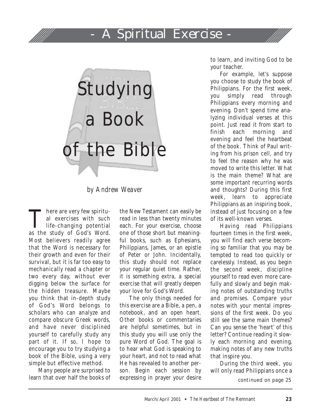# A Spiritual Exercise



*by Andrew Weaver*

There are very few spiritu-<br>
al exercises with such<br>
life-changing potential al exercises with such as the study of God's Word. Most believers readily agree that the Word is necessary for their growth and even for their survival, but it is far too easy to mechanically read a chapter or two every day, without ever digging below the surface for the hidden treasure. Maybe you think that in-depth study of God's Word belongs to scholars who can analyze and compare obscure Greek words, and have never disciplined yourself to carefully study any part of it. If so, I hope to encourage you to try studying a book of the Bible, using a very simple but effective method.

Many people are surprised to learn that over half the books of the New Testament can easily be read in less than twenty minutes each. For your exercise, choose one of those short but meaningful books, such as Ephesians, Philippians, James, or an epistle of Peter or John. Incidentally, this study should not replace your regular quiet time. Rather, it is something extra, a special exercise that will greatly deepen your love for God's Word.

The only things needed for this exercise are a Bible, a pen, a notebook, and an open heart. Other books or commentaries are helpful sometimes, but in this study you will use only the pure Word of God. The goal is to hear what God is speaking to your heart, and not to read what He has revealed to another person. Begin each session by expressing in prayer your desire

to learn, and inviting God to be your teacher.

For example, let's suppose you choose to study the book of Philippians. For the first week, you simply read through Philippians every morning and evening. Don't spend time analyzing individual verses at this point. Just read it from start to finish each morning and evening and feel the heartbeat of the book. Think of Paul writing from his prison cell, and try to feel the reason why he was moved to write this letter. What is the main theme? What are some important recurring words and thoughts? During this first week, learn to appreciate Philippians as an inspiring book, instead of just focusing on a few of its well-known verses.

Having read Philippians fourteen times in the first week, you will find each verse becoming so familiar that you may be tempted to read too quickly or carelessly. Instead, as you begin the second week, discipline yourself to read even more carefully and slowly and begin making notes of outstanding truths and promises. Compare your notes with your mental impressions of the first week. Do you still see the same main themes? Can you sense the 'heart' of this letter? Continue reading it slowly each morning and evening, making notes of any new truths that inspire you.

During the third week, you will only read Philippians once a

*continued on page 25*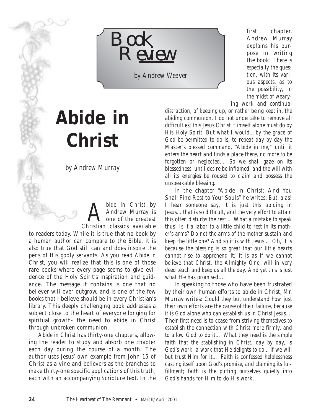

*by Andrew Weaver*

# **Abide in Christ**

*by Andrew Murray*

*Abide in Christ* by<br>Andrew Murray is<br>one of the greatest Andrew Murray is Christian classics available

to readers today. While it is true that no book by a human author can compare to the Bible, it is also true that God still can and does inspire the pens of His godly servants. As you read *Abide in Christ,* you will realize that this is one of those rare books where every page seems to give evidence of the Holy Spirit's inspiration and guidance. The message it contains is one that no believer will ever outgrow, and is one of the few books that I believe should be in every Christian's library. This deeply challenging book addresses a subject close to the heart of everyone longing for spiritual growth- the need to abide in Christ through unbroken communion.

*Abide in Christ* has thirty-one chapters, allowing the reader to study and absorb one chapter each day during the course of a month. The author uses Jesus' own example from John 15 of Christ as a vine and believers as the branches to make thirty-one specific applications of this truth, each with an accompanying Scripture text. In the

first chapter, Andrew Murray explains his purpose in writing the book: *There is especially the question, with its various aspects, as to the possibility, in the midst of wearying work and continual*

*distraction, of keeping up, or rather being kept in, the abiding communion. I do not undertake to remove all difficulties; this Jesus Christ Himself alone must do by His Holy Spirit. But what I would…by the grace of God be permitted to do is, to repeat day by day the Master's blessed command, "Abide in me," until it enters the heart and finds a place there, no more to be forgotten or neglected… So we shall gaze on its blessedness, until desire be inflamed, and the will with all its energies be roused to claim and possess the unspeakable blessing.* 

In the chapter "Abide in Christ: And You Shall Find Rest to Your Souls" he writes: *But, alas! I hear someone say, it is just this abiding in Jesus…that is so difficult, and the very effort to attain this often disturbs the rest… What a mistake to speak thus! Is it a labor to a little child to rest in its mother's arms? Do not the arms of the mother sustain and keep the little one? And so it is with Jesus… Oh, it is because the blessing is so great that our little hearts cannot rise to apprehend it; it is as if we cannot believe that Christ, the Almighty One, will in very deed teach and keep us all the day. And yet this is just what He has promised....*

In speaking to those who have been frustrated by their own human efforts to abide in Christ, Mr. Murray writes: *Could they but understand how just their own efforts are the cause of their failure, because it is God alone who can establish us in Christ Jesus… Their first need is to cease from striving themselves to establish the connection with Christ more firmly, and to allow God to do it… What they need is the simple faith that the stablishing in Christ, day by day, is God's work- a work that He delights to do…if we will but trust Him for it… Faith is confessed helplessness casting itself upon God's promise, and claiming its fulfillment; faith is the putting ourselves quietly into God's hands for Him to do His work.*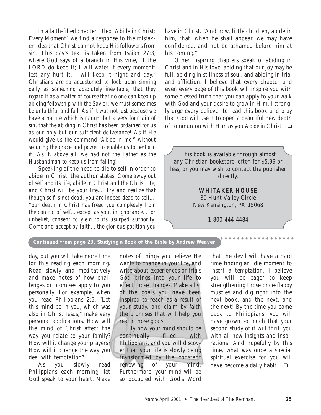In a faith-filled chapter titled "Abide in Christ: Every Moment" we find a response to the mistaken idea that Christ cannot keep His followers from sin. This day's text is taken from Isaiah 27:3, where God says of a branch in His vine, "I the LORD do keep it; I will water it every moment: lest any hurt it, I will keep it night and day." *Christians are so accustomed to look upon sinning daily as something absolutely inevitable, that they regard it as a matter of course that no one can keep up abiding fellowship with the Savior: we must sometimes be unfaithful and fail. As if it was not just because we have a nature which is naught but a very fountain of sin, that the abiding in Christ has been ordained for us as our only but our sufficient deliverance! As if He would give us the command "Abide in me," without securing the grace and power to enable us to perform it! As if, above all, we had not the Father as the Husbandman to keep us from falling!* 

Speaking of the need to die to self in order to abide in Christ, the author states, *Come away out of self and its life, abide in Christ and the Christ life, and Christ will be your life… Try and realize that though self is not dead, you are indeed dead to self… Your death in Christ has freed you completely from the control of self…except as you, in ignorance… or unbelief, consent to yield to its usurped authority. Come and accept by faith…the glorious position you* *have in Christ.* "And now, little children, abide in him, that, when he shall appear, we may have confidence, and not be ashamed before him at his coming."

Other inspiring chapters speak of abiding in Christ and in His love, abiding that our joy may be full, abiding in stillness of soul, and abiding in trial and affliction. I believe that every chapter and even every page of this book will inspire you with some blessed truth that you can apply to your walk with God and your desire to grow in Him. I strongly urge every believer to read this book and pray that God will use it to open a beautiful new depth of communion with Him as you *Abide in Christ.* ❏

This book is available through almost any Christian bookstore, often for \$5.99 or less, or you may wish to contact the publisher directly.

#### **WHITAKER HOUSE** 30 Hunt Valley Circle New Kensington, PA 15068

1-800-444-4484

*Continued from page 23,* **Studying a Book of the Bible** *by Andrew Weaver*

day, but you will take more time for this reading each morning. Read slowly and meditatively and make notes of how challenges or promises apply to you personally. For example, when you read Philippians 2:5, "Let this mind be in you, which was also in Christ Jesus," make very personal applications. How will the mind of Christ affect the way you relate to your family? How will it change your prayers? How will it change the way you deal with temptation?

As you slowly read Philippians each morning, let God speak to your heart. Make

notes of things you believe He wants to change in your life, and write about experiences or trials God brings into your life to effect those changes. Make a list of the goals you have been inspired to reach as a result of your study, and claim by faith the promises that will help you reach those goals.

By now your mind should be continually filled with Philippians, and you will discover that your life is slowly being transformed by the constant renewing of your mind. Furthermore, your mind will be so occupied with God's Word

that the devil will have a hard time finding an idle moment to insert a temptation. I believe you will be eager to keep strengthening those once-flabby muscles and dig right into the next book, and the next, and the next! By the time you come back to Philippians, you will have grown so much that your second study of it will thrill you with all new insights and inspirations! And hopefully by this time, what was once a special spiritual exercise for you will have become a daily habit.  $\Box$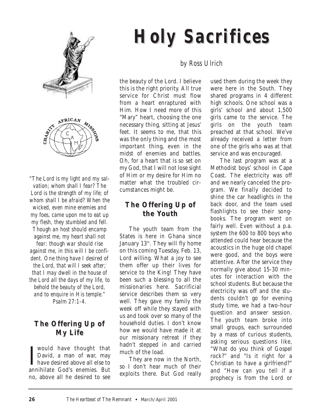

*"The Lord is my light and my salvation; whom shall I fear? The Lord is the strength of my life; of whom shall I be afraid? When the wicked, even mine enemies and my foes, came upon me to eat up my flesh, they stumbled and fell. Though an host should encamp against me, my heart shall not fear: though war should rise against me, in this will I be confident. One thing have I desired of the Lord, that will I seek after; that I may dwell in the house of the Lord all the days of my life, to behold the beauty of the Lord, and to enquire in His temple." Psalm 27:1-4.*

### **The Offering Up of The Offering Up of My Life My Life**

I would have thought that<br>David, a man of war, may<br>have desired above all else to<br>annihilate God's enemies. But would have thought that David, a man of war, may have desired above all else to no, above all he desired to see

# *Holy Sacrifices Holy Sacrifices*

#### *by Ross Ulrich*

the beauty of the Lord. I believe this is the right priority. All true service for Christ must flow from a heart enraptured with Him. How I need more of this "Mary" heart, choosing the one necessary thing, sitting at Jesus' feet. It seems to me, that this was the only thing and the most important thing, even in the midst of enemies and battles. Oh, for a heart that is so set on my God, that I will not lose sight of Him or my desire for Him no matter what the troubled circumstances might be.

### **The Offering Up of The Offering Up of the Youth**

The youth team from the States is here in Ghana since January  $13<sup>th</sup>$ . They will fly home on this coming Tuesday, Feb. 13, Lord willing. What a joy to see them offer up their lives for service to the King! They have been such a blessing to all the missionaries here. Sacrificial service describes them so very well. They gave my family the week off while they stayed with us and took over so many of the household duties. I don't know how we would have made it at our missionary retreat if they hadn't stepped in and carried much of the load.

They are now in the North, so I don't hear much of their exploits there. But God really

used them during the week they were here in the South. They shared programs in 4 different high schools. One school was a girls' school and about 1,500 girls came to the service. The girls on the youth team preached at that school. We've already received a letter from one of the girls who was at that service and was encouraged.

The last program was at a Methodist boys' school in Cape Coast. The electricity was off and we nearly canceled the program. We finally decided to shine the car headlights in the back door, and the team used flashlights to see their songbooks. The program went on fairly well. Even without a p.a. system the 600 to 800 boys who attended could hear because the acoustics in the huge old chapel were good, and the boys were attentive. After the service they normally give about 15-30 minutes for interaction with the school students. But because the electricity was off and the students couldn't go for evening study time, we had a two-hour question and answer session. The youth team broke into small groups, each surrounded by a mass of curious students, asking serious questions like, "What do you think of Gospel rock?" and "Is it right for a Christian to have a girlfriend?" and "How can you tell if a prophecy is from the Lord or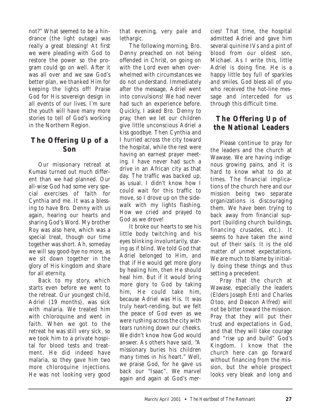not?" What seemed to be a hindrance (the light outage) was really a great blessing! At first we were pleading with God to restore the power so the program could go on well. After it was all over and we saw God's better plan, we thanked Him for keeping the lights off! Praise God for His sovereign design in all events of our lives. I'm sure the youth will have many more stories to tell of God's working in the Northern Region.

### **The Offering Up of a The Offering Up of a Son**

Our missionary retreat at Kumasi turned out much different than we had planned. Our all-wise God had some very special exercises of faith for Cynthia and me. It was a blessing to have Bro. Denny with us again, hearing our hearts and sharing God's Word. My brother Roy was also here, which was a special treat, though our time together was short. Ah, someday we will say good-bye no more, as we sit down together in the glory of His kingdom and share for all eternity.

Back to my story, which starts even before we went to the retreat. Our youngest child, Adriel (19 months), was sick with malaria. We treated him with chloroquine and went in faith. When we got to the retreat he was still very sick, so we took him to a private hospital for blood tests and treatment. He did indeed have malaria, so they gave him two more chloroquine injections. He was not looking very good

that evening, very pale and lethargic.

The following morning, Bro. Denny preached on not being offended in Christ, on going on with the Lord even when overwhelmed with circumstances we do not understand. Immediately after the message, Adriel went into convulsions! We had never had such an experience before. Quickly, I asked Bro. Denny to pray, then we let our children give little unconscious Adriel a kiss goodbye. Then Cynthia and I hurried across the city toward the hospital, while the rest were having an earnest prayer meeting. I have never had such a drive in an African city as that day. The traffic was backed up, as usual. I didn't know how I could wait for this traffic to move, so I drove up on the sidewalk with my lights flashing. How we cried and prayed to God as we drove!

It broke our hearts to see his little body twitching and his eyes blinking involuntarily, staring as if blind. We told God that Adriel belonged to Him, and that if He would get more glory by healing him, then He should heal him. But if it would bring more glory to God by taking him, He could take him, because Adriel was His. It was truly heart-rending, but we felt the peace of God even as we were rushing across the city with tears running down our cheeks. We didn't know how God would answer. As others have said, "A missionary buries his children many times in his heart." Well, we praise God, for he gave us back our "Isaac". We marvel again and again at God's mercies! That time, the hospital admitted Adriel and gave him several quinine IVs and a pint of blood from our oldest son, Michael. As I write this, little Adriel is doing fine. He is a happy little boy full of sparkles and smiles. God bless all of you who received the hot-line message and interceded for us through this difficult time.

### **The Offering Up of The Offering Up of the National Leaders the National Leaders**

Please continue to pray for the leaders and the church at Wawase. We are having indigenous growing pains, and it is hard to know what to do at times. The financial implications of the church here and our mission being two separate organizations is discouraging them. We have been trying to back away from financial support (building church buildings, financing crusades, etc.). It seems to have taken the wind out of their sails. It is the old matter of unmet expectations. We are much to blame by initially doing these things and thus setting a precedent.

Pray that the church at Wawase, especially the leaders (Elders Joseph Enti and Charles Otoo, and Deacon Alfred) will not be bitter toward the mission. Pray that they will put their trust and expectations in God, and that they will take courage and "rise up and build" God's Kingdom. I know that the church here can go forward without financing from the mission, but the whole prospect looks very bleak and long and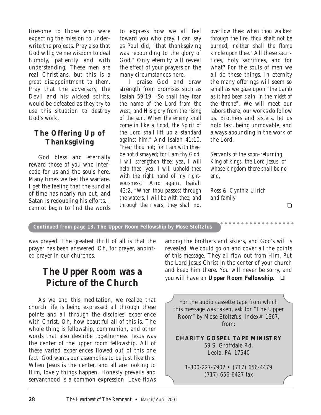tiresome to those who were expecting the mission to underwrite the projects. Pray also that God will give me wisdom to deal humbly, patiently and with understanding. These men are real Christians, but this is a great disappointment to them. Pray that the adversary, the Devil and his wicked spirits, would be defeated as they try to use this situation to destroy God's work.

### **The Offering Up of The Offering Up of Thanksgiving Thanksgiving**

God bless and eternally reward those of you who intercede for us and the souls here. Many times we feel the warfare. I get the feeling that the sundial of time has nearly run out, and Satan is redoubling his efforts. I cannot begin to find the words to express how we all feel toward you who pray. I can say as Paul did, "that thanksgiving was rebounding to the glory of God." Only eternity will reveal the effect of your prayers on the many circumstances here.

I praise God and draw strength from promises such as Isaiah 59:19*, "So shall they fear the name of the Lord from the west, and His glory from the rising of the sun. When the enemy shall come in like a flood, the Spirit of the Lord shall lift up a standard against him."* And Isaiah 41:10, *"Fear thou not; for I am with thee: be not dismayed; for I am thy God: I will strengthen thee; yea, I will help thee; yea, I will uphold thee with the right hand of my righteousness."* And again, Isaiah 43:2, *"When thou passest through the waters, I will be with thee; and through the rivers, they shall not*

*overflow thee: when thou walkest through the fire, thou shalt not be burned; neither shall the flame kindle upon thee."* All these sacrifices, holy sacrifices, and for what? For the souls of men we all do these things. In eternity the many offerings will seem so small as we gaze upon "*the Lamb as it had been slain, in the midst of the throne".* We will meet our labors there, our works do follow us. Brothers and sisters, let us hold fast, being unmovable, and always abounding in the work of the Lord.

*Servants of the soon-returning King of kings, the Lord Jesus, of whose kingdom there shall be no end,*

*Ross & Cynthia Ulrich and family*

❏

*Continued from page 13,* **The Upper Room Fellowship** *by Mose Stoltzfus*

was prayed. The greatest thrill of all is that the prayer has been answered. Oh, for prayer, anointed prayer in our churches.

# **The Upper Room was a Picture of the Church**

As we end this meditation, we realize that church life is being expressed all through these points and all through the disciples' experience with Christ. Oh, how beautiful all of this is. The whole thing is fellowship, communion, and other words that also describe togetherness. Jesus was the center of the upper room fellowship. All of these varied experiences flowed out of this one fact. God wants our assemblies to be just like this. When Jesus is the center, and all are looking to Him, lovely things happen. Honesty prevails and servanthood is a common expression. Love flows

among the brothers and sisters, and God's will is revealed. We could go on and cover all the points of this message. They all flow out from Him. Put the Lord Jesus Christ in the center of your church and keep him there. You will never be sorry, and you will have an **Upper Room Fellowship.** ❏

For the audio cassette tape from which this message was taken, ask for "The Upper Room" by Mose Stoltzfus, Index# 1367, from:

**CHARITY GOSPEL TAPE MINISTRY** 59 S. Groffdale Rd. Leola, PA 17540

1-800-227-7902 • (717) 656-4479 (717) 656-6427 *fax*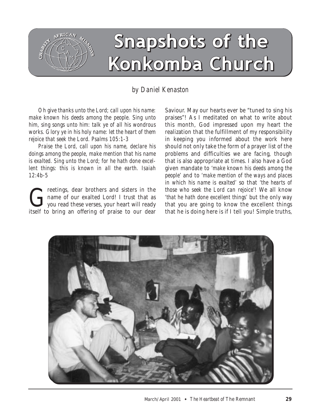

# **Snapshots of the Konkomba Church**

### *by Daniel Kenaston*

*Oh give thanks unto the Lord; call upon his name: make known his deeds among the people. Sing unto him, sing songs unto him: talk ye of all his wondrous works. Glory ye in his holy name: let the heart of them rejoice that seek the Lord. Psalms 105:1-3*

*Praise the Lord, call upon his name, declare his doings among the people, make mention that his name is exalted. Sing unto the Lord; for he hath done excellent things: this is known in all the earth. Isaiah 12:4b-5*

The reetings, dear brothers and sisters in the name of our exalted Lord! I trust that as you read these verses, your heart will ready name of our exalted Lord! I trust that as  $\blacksquare$  you read these verses, your heart will ready itself to bring an offering of praise to our dear Saviour. May our hearts ever be "tuned to sing his praises"! As I meditated on what to write about this month, God impressed upon my heart the realization that the fulfillment of my responsibility in keeping you informed about the work here should not only take the form of a prayer list of the problems and difficulties we are facing, though that is also appropriate at times. I also have a God given mandate to *'make known his deeds among the people'* and to *'make mention of the ways and places in which his name is exalted'* so that *'the hearts of those who seek the Lord can rejoice'*! We all know *'that he hath done excellent things'* but the only way that you are going to know the excellent things that he is doing here is if I tell you! Simple truths,

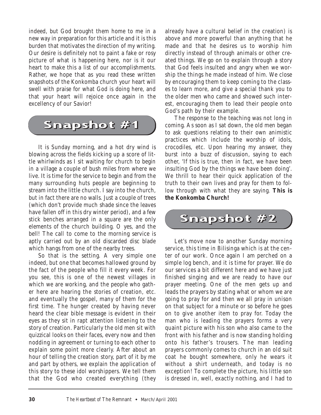indeed, but God brought them home to me in a new way in preparation for this article and it is this burden that motivates the direction of my writing. Our desire is definitely not to paint a fake or rosy picture of what is happening here, nor is it our heart to make this a list of our accomplishments. Rather, we hope that as you read these written snapshots of the Konkomba church your heart will swell with praise for what God is doing here, and that your heart will rejoice once again in the excellency of our Savior!

# Snapshot #1

It is Sunday morning, and a hot dry wind is blowing across the fields kicking up a score of little whirlwinds as I sit waiting for church to begin in a village a couple of bush miles from where we live. It is time for the service to begin and from the many surrounding huts people are beginning to stream into the little church. I say into the church, but in fact there are no walls. Just a couple of trees (which don't provide much shade since the leaves have fallen off in this dry winter period), and a few stick benches arranged in a square are the only elements of the church building. O yes, and the bell! The call to come to the morning service is aptly carried out by an old discarded disc blade which hangs from one of the nearby trees.

So that is the setting. A very simple one indeed, but one that becomes hallowed ground by the fact of the people who fill it every week. For you see, this is one of the newest villages in which we are working, and the people who gather here are hearing the stories of creation, etc. and eventually the gospel, many of them for the first time. The hunger created by having never heard the clear bible message is evident in their eyes as they sit in rapt attention listening to the story of creation. Particularly the old men sit with quizzical looks on their faces, every now and then nodding in agreement or turning to each other to explain some point more clearly. After about an hour of telling the creation story, part of it by me and part by others, we explain the application of this story to these idol worshippers. We tell them that the God who created everything (they

already have a cultural belief in the creation) is above and more powerful than anything that he made and that he desires us to worship him directly instead of through animals or other created things. We go on to explain through a story that God feels insulted and angry when we worship the things he made instead of him. We close by encouraging them to keep coming to the classes to learn more, and give a special thank you to the older men who came and showed such interest, encouraging them to lead their people onto God's path by their example.

The response to the teaching was not long in coming. As soon as I sat down, the old men began to ask questions relating to their own animistic practices which include the worship of idols, crocodiles, etc. Upon hearing my answer, they burst into a buzz of discussion, saying to each other, 'If this is true, then in fact, we have been insulting God by the things we have been doing'. We thrill to hear their quick application of the truth to their own lives and pray for them to follow through with what they are saying. **This is the Konkomba Church!**



Let's move now to another Sunday morning service, this time in Bilisinga which is at the center of our work. Once again I am perched on a simple log bench, and it is time for prayer. We do our services a bit different here and we have just finished singing and we are ready to have our prayer meeting. One of the men gets up and leads the prayers by stating what or whom we are going to pray for and then we all pray in unison on that subject for a minute or so before he goes on to give another item to pray for. Today the man who is leading the prayers forms a very quaint picture with his son who also came to the front with his father and is now standing holding onto his father's trousers. The man leading prayers commonly comes to church in an old suit coat he bought somewhere, only he wears it without a shirt underneath, and today is no exception! To complete the picture, his little son is dressed in, well, exactly nothing, and I had to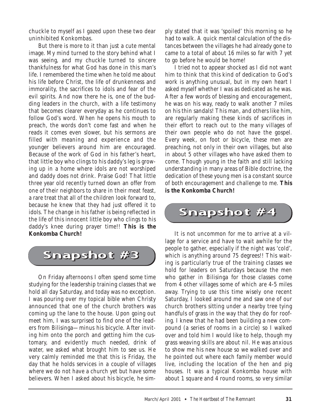chuckle to myself as I gazed upon these two dear uninhibited Konkombas.

But there is more to it than just a cute mental image. My mind turned to the story behind what I was seeing, and my chuckle turned to sincere thankfulness for what God has done in this man's life. I remembered the time when he told me about his life before Christ, the life of drunkenness and immorality, the sacrifices to idols and fear of the evil spirits. And now there he is, one of the budding leaders in the church, with a life testimony that becomes clearer everyday as he continues to follow God's word. When he opens his mouth to preach, the words don't come fast and when he reads it comes even slower, but his sermons are filled with meaning and experience and the younger believers around him are encouraged. Because of the work of God in his father's heart, that little boy who clings to his daddy's leg is growing up in a home where idols are not worshiped and daddy does not drink. Praise God! That little three year old recently turned down an offer from one of their neighbors to share in their meat feast, a rare treat that all of the children look forward to, because he knew that they had just offered it to idols. The change in his father is being reflected in the life of this innocent little boy who clings to his daddy's knee during prayer time!! **This is the Konkomba Church!**

Snapshot #3

On Friday afternoons I often spend some time studying for the leadership training classes that we hold all day Saturday, and today was no exception. I was pouring over my topical bible when Christy announced that one of the church brothers was coming up the lane to the house. Upon going out meet him, I was surprised to find one of the leaders from Bilisinga—minus his bicycle. After inviting him onto the porch and getting him the customary, and evidently much needed, drink of water, we asked what brought him to see us. He very calmly reminded me that this is Friday, the day that he holds services in a couple of villages where we do not have a church yet but have some believers. When I asked about his bicycle, he sim-

ply stated that it was 'spoiled' this morning so he had to walk. A quick mental calculation of the distances between the villages he had already gone to came to a total of about 16 miles so far with 7 yet to go before he would be home!

I tried not to appear shocked as I did not want him to think that this kind of dedication to God's work is anything unusual, but in my own heart I asked myself whether I was as dedicated as he was. After a few words of blessing and encouragement, he was on his way, ready to walk another 7 miles on his thin sandals! This man, and others like him, are regularly making these kinds of sacrifices in their effort to reach out to the many villages of their own people who do not have the gospel. Every week, on foot or bicycle, these men are preaching, not only in their own villages, but also in about 5 other villages who have asked them to come. Though young in the faith and still lacking understanding in many areas of Bible doctrine, the dedication of these young men is a constant source of both encouragement and challenge to me. **This is the Konkomba Church!**



It is not uncommon for me to arrive at a village for a service and have to wait awhile for the people to gather, especially if the night was 'cold', which is anything around 75 degrees!! This waiting is particularly true of the training classes we hold for leaders on Saturdays because the men who gather in Bilisinga for those classes come from 4 other villages some of which are 4-5 miles away. Trying to use this time wisely one recent Saturday, I looked around me and saw one of our church brothers sitting under a nearby tree tying handfuls of grass in the way that they do for roofing. I knew that he had been building a new compound (a series of rooms in a circle) so I walked over and told him I would like to help, though my grass weaving skills are about nil. He was anxious to show me his new house so we walked over and he pointed out where each family member would live, including the location of the hen and pig houses. It was a typical Konkomba house with about 1 square and 4 round rooms, so very similar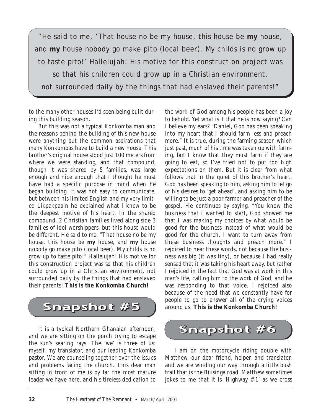"He said to me, 'That house no be my house, this house be **my** house, and **my** house nobody go make pito (local beer). My childs is no grow up to taste pito!' Hallelujah! His motive for this construction project was so that his children could grow up in a Christian environment, not surrounded daily by the things that had enslaved their parents!"

to the many other houses I'd seen being built during this building season.

But this was not a typical Konkomba man and the reasons behind the building of this new house were anything but the common aspirations that many Konkombas have to build a new house. This brother's original house stood just 100 meters from where we were standing, and that compound, though it was shared by 5 families, was large enough and nice enough that I thought he must have had a specific purpose in mind when he began building. It was not easy to communicate, but between his limited English and my very limited Likpakpaaln he explained what I knew to be the deepest motive of his heart. In the shared compound, 2 Christian families lived along side 3 families of idol worshippers, but this house would be different. He said to me, "That house no be my house, this house be **my** house, and **my** house nobody go make pito (local beer). My childs is no grow up to taste pito!" Hallelujah! His motive for this construction project was so that his children could grow up in a Christian environment, not surrounded daily by the things that had enslaved their parents! **This is the Konkomba Church!**

# Snapshot #5

It is a typical Northern Ghanaian afternoon, and we are sitting on the porch trying to escape the sun's searing rays. The 'we' is three of us: myself, my translator, and our leading Konkomba pastor. We are counseling together over the issues and problems facing the church. This dear man sitting in front of me is by far the most mature leader we have here, and his tireless dedication to

the work of God among his people has been a joy to behold. Yet what is it that he is now saying? Can I believe my ears? "Daniel, God has been speaking into my heart that I should farm less and preach more." It is true, during the farming season which just past, much of his time was taken up with farming, but I know that they must farm if they are going to eat, so I've tried not to put too high expectations on them. But it is clear from what follows that in the quiet of this brother's heart, God has been speaking to him, asking him to let go of his desires to 'get ahead', and asking him to be willing to be just a poor farmer and preacher of the gospel. He continues by saying, "You know the business that I wanted to start, God showed me that I was making my choices by what would be good for the business instead of what would be good for the church. I want to turn away from these business thoughts and preach more." I rejoiced to hear these words, not because the business was big (it was tiny), or because I had really sensed that it was taking his heart away, but rather I rejoiced in the fact that God was at work in this man's life, calling him to the work of God, and he was responding to that voice. I rejoiced also because of the need that we constantly have for people to go to answer all of the crying voices around us. **This is the Konkomba Church!**

# Snapshot #6

I am on the motorcycle riding double with Matthew, our dear friend, helper, and translator, and we are winding our way through a little bush trail that is the Bilisinga road. Matthew sometimes jokes to me that it is 'Highway  $#1$ ' as we cross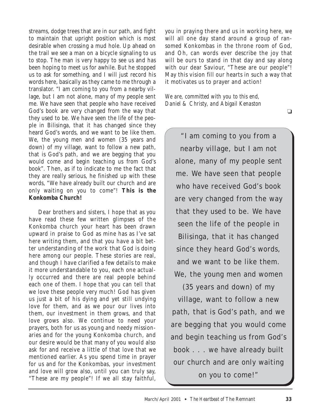streams, dodge trees that are in our path, and fight to maintain that upright position which is most desirable when crossing a mud hole. Up ahead on the trail we see a man on a bicycle signaling to us to stop. The man is very happy to see us and has been hoping to meet us for awhile. But he stopped us to ask for something, and I will just record his words here, basically as they came to me through a translator. "I am coming to you from a nearby village, but I am not alone, many of my people sent me. We have seen that people who have received God's book are very changed from the way that they used to be. We have seen the life of the people in Bilisinga, that it has changed since they heard God's words, and we want to be like them. We, the young men and women (35 years and down) of my village, want to follow a new path, that is God's path, and we are begging that you would come and begin teaching us from God's book". Then, as if to indicate to me the fact that they are really serious, he finished up with these words, "We have already built our church and are only waiting on you to come"! **This is the Konkomba Church!**

Dear brothers and sisters, I hope that as you have read these few written glimpses of the Konkomba church your heart has been drawn upward in praise to God as mine has as I've sat here writing them, and that you have a bit better understanding of the work that God is doing here among our people. These stories are real, and though I have clarified a few details to make it more understandable to you, each one actually occurred and there are real people behind each one of them. I hope that you can tell that we love these people very much! God has given us just a bit of his dying and yet still undying love for them, and as we pour our lives into them, our investment in them grows, and that love grows also. We continue to need your prayers, both for us as young and needy missionaries and for the young Konkomba church, and our desire would be that many of you would also ask for and receive a little of that love that we mentioned earlier. As you spend time in prayer for us and for the Konkombas, your investment and love will grow also, until you can truly say, "These are my people"! If we all stay faithful,

you in praying there and us in working here, we will all one day stand around a group of ransomed Konkombas in the throne room of God, and Oh, can words ever describe the joy that will be ours to stand in that day and say along with our dear Saviour, "These are our people"! May this vision fill our hearts in such a way that it motivates us to prayer and action!

*We are, committed with you to this end, Daniel & Christy, and Abigail Kenaston*

❏

"I am coming to you from a nearby village, but I am not alone, many of my people sent me. We have seen that people who have received God's book are very changed from the way that they used to be. We have seen the life of the people in Bilisinga, that it has changed since they heard God's words, and we want to be like them. We, the young men and women

(35 years and down) of my village, want to follow a new path, that is God's path, and we are begging that you would come and begin teaching us from God's book . . . we have already built our church and are only waiting on you to come!"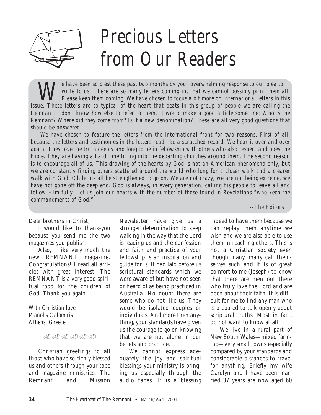# *Precious Letters from Our Readers*

*We have been so blest these past two months by your overwhelming response to our plea to write to us. There are so many letters coming in, that we cannot possibly print them all. Please keep them coming. We have chosen to focus a bit more on international letters in this issue. These letters are so typical of the heart that beats in this group of people we are calling the Remnant. I don't know how else to refer to them. It would make a good article sometime: Who is the Remnant? Where did they come from? Is it a new denomination? These are all very good questions that should be answered.*

*We have chosen to feature the letters from the international front for two reasons. First of all, because the letters and testimonies in the letters read like a scratched record. We hear it over and over again. They love the truth deeply and long to be in fellowship with others who also respect and obey the Bible. They are having a hard time fitting into the departing churches around them. The second reason is to encourage all of us. This drawing of the hearts by God is not an American phenomena only, but we are constantly finding others scattered around the world who long for a closer walk and a clearer walk with God. Oh let us all be strengthened to go on. We are not crazy, we are not being extreme, we have not gone off the deep end. God is always, in every generation, calling his people to leave all and follow Him fully. Let us join our hearts with the number of those found in Revelations "who keep the commandments of God."*

Dear brothers in Christ,

I would like to thank-you because you send me the two magazines you publish.

Also, I like very much the new REMNANT magazine. Congratulations! I read all articles with great interest. The REMNANT is a very good spiritual food for the children of God. Thank-you again.

*With Christian love, Manolis Calomiris Athens, Greece*

\$\$\$\$\$\$

Christian greetings to all those who have so richly blessed us and others through your tape and magazine ministries. The Remnant and Mission Newsletter have give us a stronger determination to keep walking in the way that the Lord is leading us and the confession and faith and practice of your fellowship is an inspiration and guide for is. It had laid before us scriptural standards which we were aware of but have not seen or heard of as being practiced in Australia. No doubt there are some who do not like us. They would be isolated couples or individuals. And more then anything, your standards have given us the courage to go on knowing that we are not alone in our beliefs and practice.

We cannot express adequately the joy and spiritual blessings your ministry is bringing us especially through the audio tapes. It is a blessing *--The Editors*

indeed to have them because we can replay them anytime we wish and we are also able to use them in reaching others. This is not a Christian society even though many, many call themselves such and it is of great comfort to me (Joseph) to know that there are men out there who truly love the Lord and are open about their faith. It is difficult for me to find any man who is prepared to talk openly about scriptural truths. Most in fact, do not want to know at all.

We live in a rural part of New South Wales—mixed farming—very small towns especially compared by your standards and considerable distances to travel for anything. Briefly my wife Carolyn and I have been married 37 years are now aged 60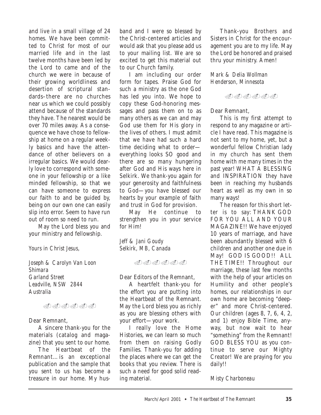and live in a small village of 24 homes. We have been committed to Christ for most of our married life and in the last twelve months have been led by the Lord to came and of the church we were in because of their growing worldliness and desertion of scriptural standards–there are no churches near us which we could possibly attend because of the standards they have. The nearest would be over 70 miles away. As a consequence we have chose to fellowship at home on a regular weekly basics and have the attendance of other believers on a irregular basics. We would dearly love to correspond with someone in your fellowship or a like minded fellowship, so that we can have someone to express our faith to and be guided by, being on our own one can easily slip into error. Seem to have run out of room so need to run.

May the Lord bless you and your ministry and fellowship.

*Yours in Christ Jesus,*

*Joseph & Carolyn Van Loon Shimara Garland Street Leadville, NSW 2844 Australia*

 $48040404$ 

Dear Remnant,

A sincere thank-you for the materials (catalog and magazine) that you sent to our home.

The Heartbeat of the Remnant…is an exceptional publication and the sample that you sent to us has become a treasure in our home. My husband and I were so blessed by the Christ-centered articles and would ask that you please add us to your mailing list. We are so excited to get this material out to our Church family.

I am including our order form for tapes. Praise God for such a ministry as the one God has led you into. We hope to copy these God-honoring messages and pass them on to as many others as we can and may God use them for His glory in the lives of others. I must admit that we have had such a hard time deciding what to order everything looks SO good and there are so many hungering after God and His ways here in Selkirk. We thank-you again for your generosity and faithfulness to God—you have blessed our hearts by your example of faith and trust in God for provision.

May He continue to strengthen you in your service for Him!

*Jeff & Jani Goudy Selkirk, MB, Canada*

 $48804048040$ 

Dear Editors of the Remnant,

A heartfelt thank-you for the effort you are putting into the Heartbeat of the Remnant. May the Lord bless you as richly as you are blessing others with your effort—your work.

I really love the Home Histories, we can learn so much from them on raising Godly Families. Thank-you for adding the places where we can get the books that you review. There is such a need for good solid reading material.

Thank-you Brothers and Sisters in Christ for the encouragement you are to my life. May the Lord be honored and praised thru your ministry. Amen!

#### *Mark & Delia Wollman Henderson, Minnesota*

 $\circledast$   $\circledast$   $\circledast$   $\circledast$ 

Dear Remnant,

This is my first attempt to respond to any magazine or article I have read. This magazine is not sent to my home, yet, but a wonderful fellow Christian lady in my church has sent them home with me many times in the past year! WHAT A BLESSING and INSPIRATION they have been in reaching my husbands heart as well as my own in so many ways!

The reason for this short letter is to say: THANK GOD FOR YOU ALL AND YOUR MAGAZINE!! We have enjoyed 10 years of marriage, and have been abundantly blessed with 6 children and another one due in May! GOD IS GOOD!! ALL THE TIME!! Throughout our marriage, these last few months with the help of your articles on Humility and other people's homes, our relationships in our own home are becoming "deeper" and more Christ-centered. Our children (ages 8, 7, 6, 4, 2, and 1) enjoy Bible Time, anyway, but now wait to hear "something" from the Remnant! GOD BLESS YOU as you continue to serve our Mighty Creator! We are praying for you daily!!

*Misty Charboneau*